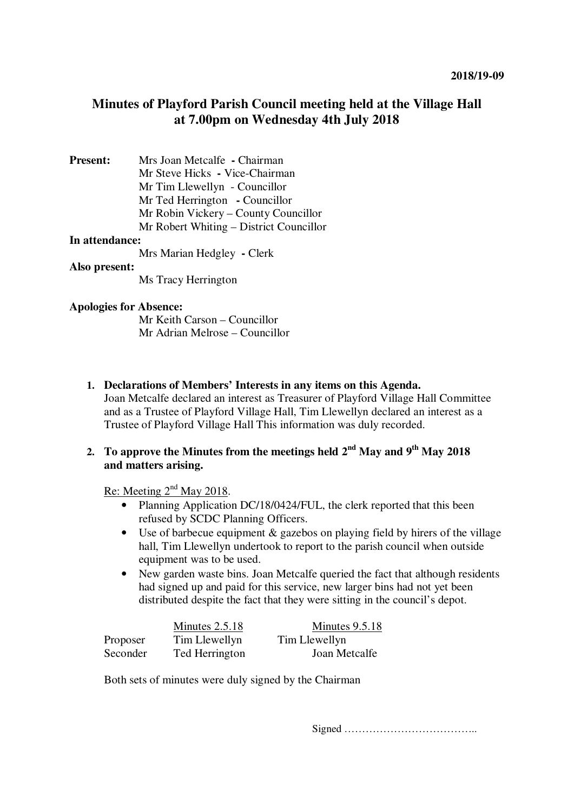# **Minutes of Playford Parish Council meeting held at the Village Hall at 7.00pm on Wednesday 4th July 2018**

**Present:** Mrs Joan Metcalfe **-** Chairman Mr Steve Hicks **-** Vice-Chairman Mr Tim Llewellyn - Councillor Mr Ted Herrington **-** Councillor Mr Robin Vickery – County Councillor Mr Robert Whiting – District Councillor

#### **In attendance:**

Mrs Marian Hedgley **-** Clerk

#### **Also present:**

Ms Tracy Herrington

#### **Apologies for Absence:**

Mr Keith Carson – Councillor Mr Adrian Melrose – Councillor

**1. Declarations of Members' Interests in any items on this Agenda.** 

Joan Metcalfe declared an interest as Treasurer of Playford Village Hall Committee and as a Trustee of Playford Village Hall, Tim Llewellyn declared an interest as a Trustee of Playford Village Hall This information was duly recorded.

# 2. **To approve the Minutes from the meetings held**  $2^{nd}$  **May and**  $9^{th}$  **May 2018 and matters arising.**

Re: Meeting  $2<sup>nd</sup>$  May 2018.

- Planning Application DC/18/0424/FUL, the clerk reported that this been refused by SCDC Planning Officers.
- Use of barbecue equipment  $\&$  gazebos on playing field by hirers of the village hall, Tim Llewellyn undertook to report to the parish council when outside equipment was to be used.
- New garden waste bins. Joan Metcalfe queried the fact that although residents had signed up and paid for this service, new larger bins had not yet been distributed despite the fact that they were sitting in the council's depot.

|          | Minutes $2.5.18$ | Minutes 9.5.18 |
|----------|------------------|----------------|
| Proposer | Tim Llewellyn    | Tim Llewellyn  |
| Seconder | Ted Herrington   | Joan Metcalfe  |

Both sets of minutes were duly signed by the Chairman

Signed ………………………………..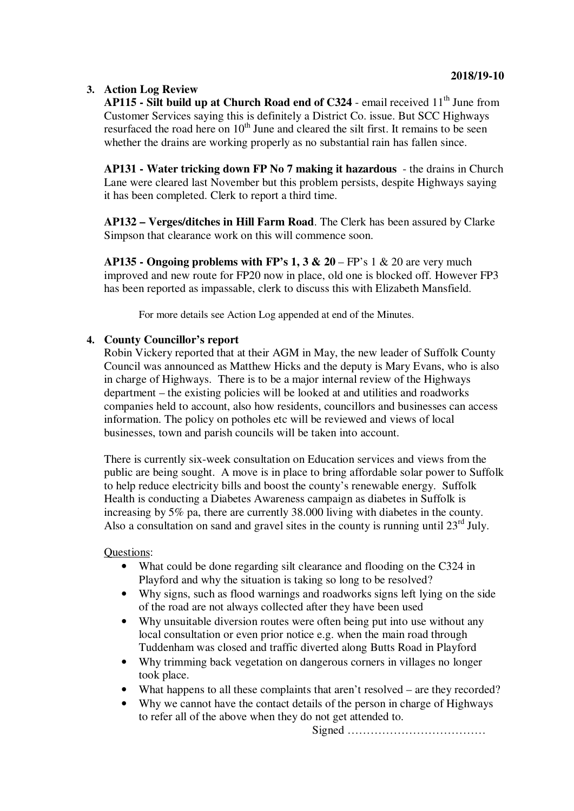# **3. Action Log Review**

**AP115 - Silt build up at Church Road end of C324** - email received 11<sup>th</sup> June from Customer Services saying this is definitely a District Co. issue. But SCC Highways resurfaced the road here on  $10<sup>th</sup>$  June and cleared the silt first. It remains to be seen whether the drains are working properly as no substantial rain has fallen since.

**AP131 - Water tricking down FP No 7 making it hazardous** - the drains in Church Lane were cleared last November but this problem persists, despite Highways saying it has been completed. Clerk to report a third time.

**AP132 – Verges/ditches in Hill Farm Road**. The Clerk has been assured by Clarke Simpson that clearance work on this will commence soon.

**AP135 - Ongoing problems with FP's 1, 3**  $\&$  **20 – FP's 1**  $\&$  **20 are very much** improved and new route for FP20 now in place, old one is blocked off. However FP3 has been reported as impassable, clerk to discuss this with Elizabeth Mansfield.

For more details see Action Log appended at end of the Minutes.

# **4. County Councillor's report**

Robin Vickery reported that at their AGM in May, the new leader of Suffolk County Council was announced as Matthew Hicks and the deputy is Mary Evans, who is also in charge of Highways. There is to be a major internal review of the Highways department – the existing policies will be looked at and utilities and roadworks companies held to account, also how residents, councillors and businesses can access information. The policy on potholes etc will be reviewed and views of local businesses, town and parish councils will be taken into account.

There is currently six-week consultation on Education services and views from the public are being sought. A move is in place to bring affordable solar power to Suffolk to help reduce electricity bills and boost the county's renewable energy. Suffolk Health is conducting a Diabetes Awareness campaign as diabetes in Suffolk is increasing by 5% pa, there are currently 38.000 living with diabetes in the county. Also a consultation on sand and gravel sites in the county is running until  $23<sup>rd</sup>$  July.

Questions:

- What could be done regarding silt clearance and flooding on the C324 in Playford and why the situation is taking so long to be resolved?
- Why signs, such as flood warnings and roadworks signs left lying on the side of the road are not always collected after they have been used
- Why unsuitable diversion routes were often being put into use without any local consultation or even prior notice e.g. when the main road through Tuddenham was closed and traffic diverted along Butts Road in Playford
- Why trimming back vegetation on dangerous corners in villages no longer took place.
- What happens to all these complaints that aren't resolved are they recorded?
- Why we cannot have the contact details of the person in charge of Highways to refer all of the above when they do not get attended to.

Signed ………………………………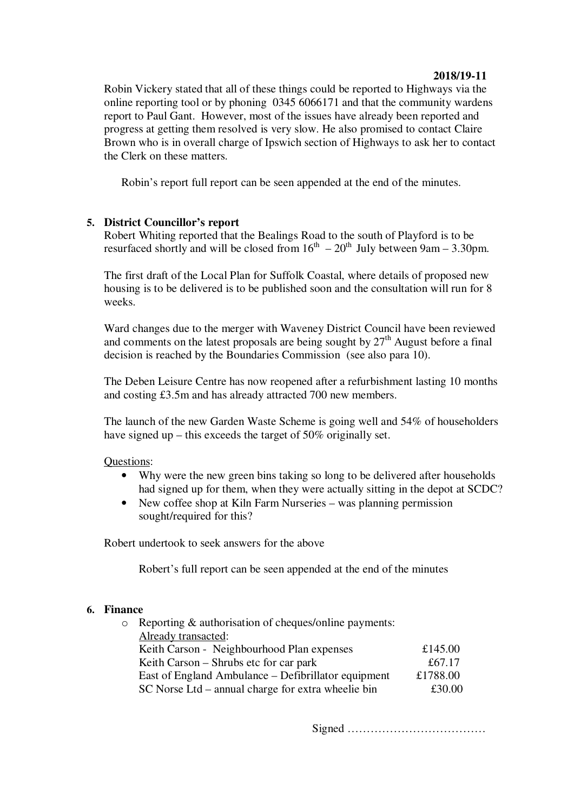## **2018/19-11**

Robin Vickery stated that all of these things could be reported to Highways via the online reporting tool or by phoning 0345 6066171 and that the community wardens report to Paul Gant. However, most of the issues have already been reported and progress at getting them resolved is very slow. He also promised to contact Claire Brown who is in overall charge of Ipswich section of Highways to ask her to contact the Clerk on these matters.

Robin's report full report can be seen appended at the end of the minutes.

# **5. District Councillor's report**

Robert Whiting reported that the Bealings Road to the south of Playford is to be resurfaced shortly and will be closed from  $16<sup>th</sup> - 20<sup>th</sup>$  July between 9am – 3.30pm.

The first draft of the Local Plan for Suffolk Coastal, where details of proposed new housing is to be delivered is to be published soon and the consultation will run for 8 weeks.

Ward changes due to the merger with Waveney District Council have been reviewed and comments on the latest proposals are being sought by  $27<sup>th</sup>$  August before a final decision is reached by the Boundaries Commission (see also para 10).

The Deben Leisure Centre has now reopened after a refurbishment lasting 10 months and costing £3.5m and has already attracted 700 new members.

The launch of the new Garden Waste Scheme is going well and 54% of householders have signed up – this exceeds the target of 50% originally set.

## Questions:

- Why were the new green bins taking so long to be delivered after households had signed up for them, when they were actually sitting in the depot at SCDC?
- New coffee shop at Kiln Farm Nurseries was planning permission sought/required for this?

Robert undertook to seek answers for the above

Robert's full report can be seen appended at the end of the minutes

#### **6. Finance**

| $\circ$ Reporting & authorisation of cheques/online payments: |          |
|---------------------------------------------------------------|----------|
| Already transacted:                                           |          |
| Keith Carson - Neighbourhood Plan expenses                    | £145.00  |
| Keith Carson – Shrubs etc for car park                        | £67.17   |
| East of England Ambulance – Defibrillator equipment           | £1788.00 |
| SC Norse Ltd – annual charge for extra wheelie bin            | £30.00   |
|                                                               |          |

Signed ………………………………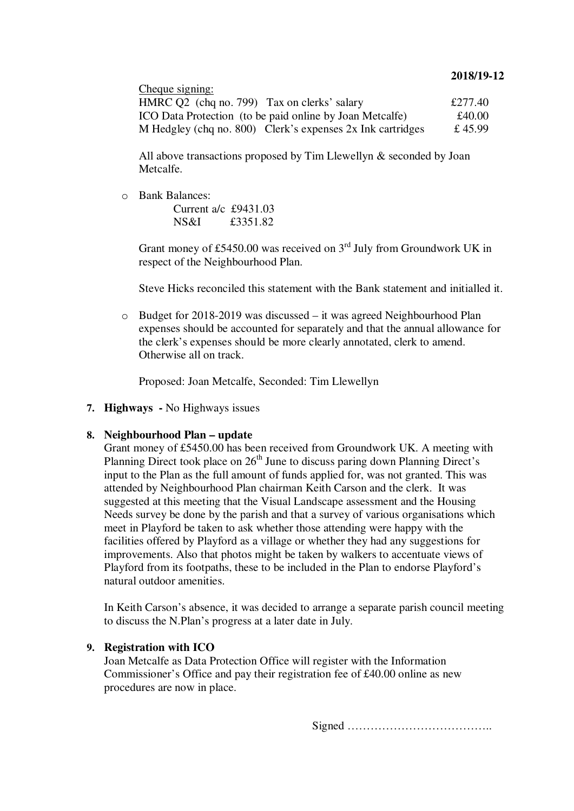### **2018/19-12**

| Cheque signing:                                              |         |
|--------------------------------------------------------------|---------|
| HMRC Q2 (chq no. 799) Tax on clerks' salary                  | £277.40 |
| ICO Data Protection (to be paid online by Joan Metcalfe)     | £40.00  |
| M Hedgley (chq no. 800) Clerk's expenses $2x$ Ink cartridges | £45.99  |

All above transactions proposed by Tim Llewellyn & seconded by Joan Metcalfe.

o Bank Balances:

Current  $a/c$   $f$ 9431.03 NS&I £3351.82

Grant money of £5450.00 was received on  $3<sup>rd</sup>$  July from Groundwork UK in respect of the Neighbourhood Plan.

Steve Hicks reconciled this statement with the Bank statement and initialled it.

o Budget for 2018-2019 was discussed – it was agreed Neighbourhood Plan expenses should be accounted for separately and that the annual allowance for the clerk's expenses should be more clearly annotated, clerk to amend. Otherwise all on track.

Proposed: Joan Metcalfe, Seconded: Tim Llewellyn

**7. Highways -** No Highways issues

#### **8. Neighbourhood Plan – update**

Grant money of £5450.00 has been received from Groundwork UK. A meeting with Planning Direct took place on 26<sup>th</sup> June to discuss paring down Planning Direct's input to the Plan as the full amount of funds applied for, was not granted. This was attended by Neighbourhood Plan chairman Keith Carson and the clerk. It was suggested at this meeting that the Visual Landscape assessment and the Housing Needs survey be done by the parish and that a survey of various organisations which meet in Playford be taken to ask whether those attending were happy with the facilities offered by Playford as a village or whether they had any suggestions for improvements. Also that photos might be taken by walkers to accentuate views of Playford from its footpaths, these to be included in the Plan to endorse Playford's natural outdoor amenities.

In Keith Carson's absence, it was decided to arrange a separate parish council meeting to discuss the N.Plan's progress at a later date in July.

#### **9. Registration with ICO**

Joan Metcalfe as Data Protection Office will register with the Information Commissioner's Office and pay their registration fee of £40.00 online as new procedures are now in place.

Signed ………………………………..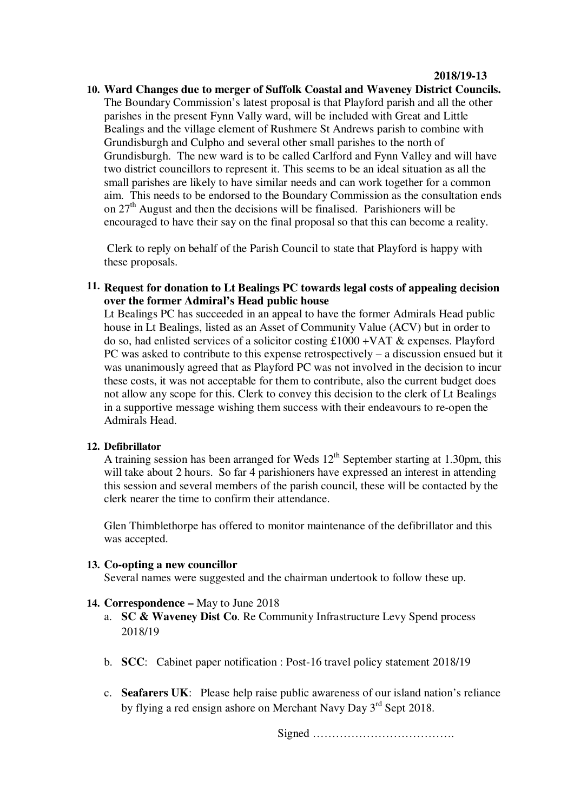**10. Ward Changes due to merger of Suffolk Coastal and Waveney District Councils.** The Boundary Commission's latest proposal is that Playford parish and all the other parishes in the present Fynn Vally ward, will be included with Great and Little Bealings and the village element of Rushmere St Andrews parish to combine with Grundisburgh and Culpho and several other small parishes to the north of Grundisburgh. The new ward is to be called Carlford and Fynn Valley and will have two district councillors to represent it. This seems to be an ideal situation as all the small parishes are likely to have similar needs and can work together for a common aim. This needs to be endorsed to the Boundary Commission as the consultation ends on  $27<sup>th</sup>$  August and then the decisions will be finalised. Parishioners will be encouraged to have their say on the final proposal so that this can become a reality.

 Clerk to reply on behalf of the Parish Council to state that Playford is happy with these proposals.

**11. Request for donation to Lt Bealings PC towards legal costs of appealing decision over the former Admiral's Head public house**

Lt Bealings PC has succeeded in an appeal to have the former Admirals Head public house in Lt Bealings, listed as an Asset of Community Value (ACV) but in order to do so, had enlisted services of a solicitor costing £1000 +VAT & expenses. Playford PC was asked to contribute to this expense retrospectively – a discussion ensued but it was unanimously agreed that as Playford PC was not involved in the decision to incur these costs, it was not acceptable for them to contribute, also the current budget does not allow any scope for this. Clerk to convey this decision to the clerk of Lt Bealings in a supportive message wishing them success with their endeavours to re-open the Admirals Head.

## **12. Defibrillator**

A training session has been arranged for Weds  $12<sup>th</sup>$  September starting at 1.30pm, this will take about 2 hours. So far 4 parishioners have expressed an interest in attending this session and several members of the parish council, these will be contacted by the clerk nearer the time to confirm their attendance.

Glen Thimblethorpe has offered to monitor maintenance of the defibrillator and this was accepted.

## **13. Co-opting a new councillor**

Several names were suggested and the chairman undertook to follow these up.

## **14. Correspondence –** May to June 2018

- a. **SC & Waveney Dist Co**. Re Community Infrastructure Levy Spend process 2018/19
- b. **SCC**: Cabinet paper notification : Post-16 travel policy statement 2018/19
- c. **Seafarers UK**: Please help raise public awareness of our island nation's reliance by flying a red ensign ashore on Merchant Navy Day 3<sup>rd</sup> Sept 2018.

Signed ……………………………….